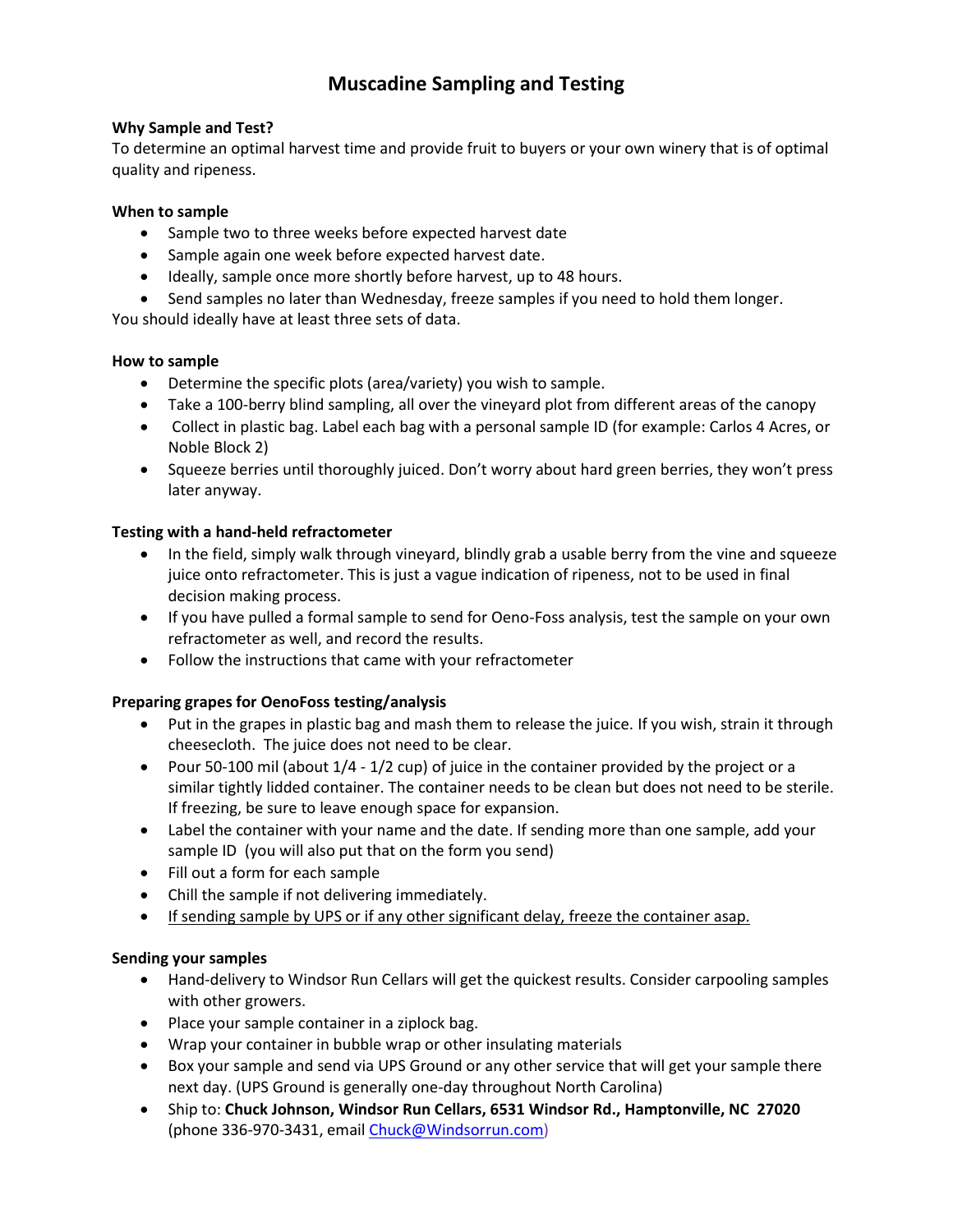# **Muscadine Sampling and Testing**

## **Why Sample and Test?**

To determine an optimal harvest time and provide fruit to buyers or your own winery that is of optimal quality and ripeness.

#### **When to sample**

- Sample two to three weeks before expected harvest date
- Sample again one week before expected harvest date.
- Ideally, sample once more shortly before harvest, up to 48 hours.
- Send samples no later than Wednesday, freeze samples if you need to hold them longer.

You should ideally have at least three sets of data.

#### **How to sample**

- Determine the specific plots (area/variety) you wish to sample.
- Take a 100-berry blind sampling, all over the vineyard plot from different areas of the canopy
- Collect in plastic bag. Label each bag with a personal sample ID (for example: Carlos 4 Acres, or Noble Block 2)
- Squeeze berries until thoroughly juiced. Don't worry about hard green berries, they won't press later anyway.

### **Testing with a hand-held refractometer**

- In the field, simply walk through vineyard, blindly grab a usable berry from the vine and squeeze juice onto refractometer. This is just a vague indication of ripeness, not to be used in final decision making process.
- If you have pulled a formal sample to send for Oeno-Foss analysis, test the sample on your own refractometer as well, and record the results.
- Follow the instructions that came with your refractometer

# **Preparing grapes for OenoFoss testing/analysis**

- Put in the grapes in plastic bag and mash them to release the juice. If you wish, strain it through cheesecloth. The juice does not need to be clear.
- Pour 50-100 mil (about  $1/4 1/2$  cup) of juice in the container provided by the project or a similar tightly lidded container. The container needs to be clean but does not need to be sterile. If freezing, be sure to leave enough space for expansion.
- Label the container with your name and the date. If sending more than one sample, add your sample ID (you will also put that on the form you send)
- Fill out a form for each sample
- Chill the sample if not delivering immediately.
- If sending sample by UPS or if any other significant delay, freeze the container asap.

#### **Sending your samples**

- Hand-delivery to Windsor Run Cellars will get the quickest results. Consider carpooling samples with other growers.
- Place your sample container in a ziplock bag.
- Wrap your container in bubble wrap or other insulating materials
- Box your sample and send via UPS Ground or any other service that will get your sample there next day. (UPS Ground is generally one-day throughout North Carolina)
- Ship to: **Chuck Johnson, Windsor Run Cellars, 6531 Windsor Rd., Hamptonville, NC 27020** (phone 336-970-3431, email [Chuck@Windsorrun.com\)](mailto:Chuck@Windsorrun.com)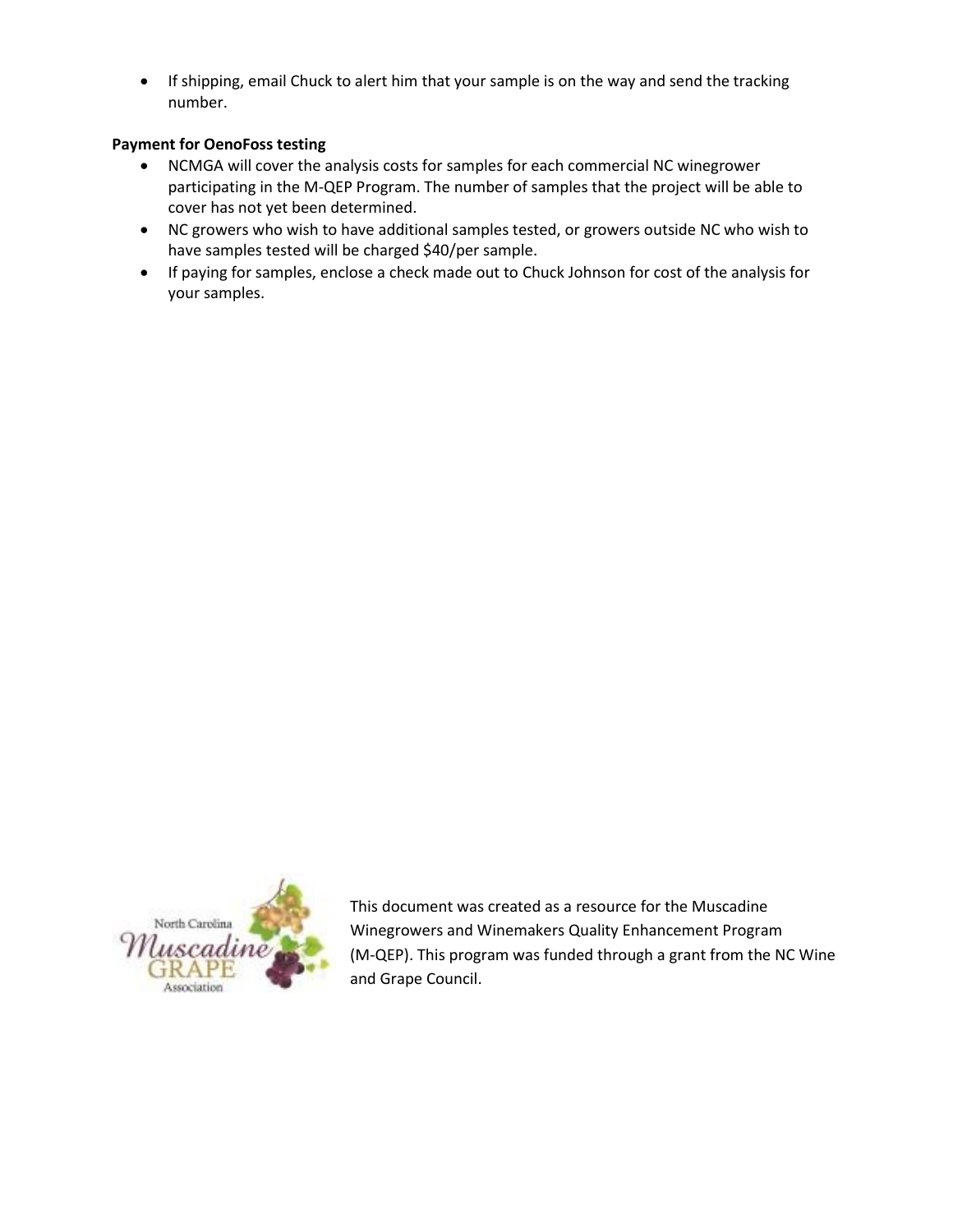If shipping, email Chuck to alert him that your sample is on the way and send the tracking number.

## **Payment for OenoFoss testing**

- NCMGA will cover the analysis costs for samples for each commercial NC winegrower participating in the M-QEP Program. The number of samples that the project will be able to cover has not yet been determined.
- NC growers who wish to have additional samples tested, or growers outside NC who wish to have samples tested will be charged \$40/per sample.
- If paying for samples, enclose a check made out to Chuck Johnson for cost of the analysis for your samples.



This document was created as a resource for the Muscadine Winegrowers and Winemakers Quality Enhancement Program (M-QEP). This program was funded through a grant from the NC Wine and Grape Council.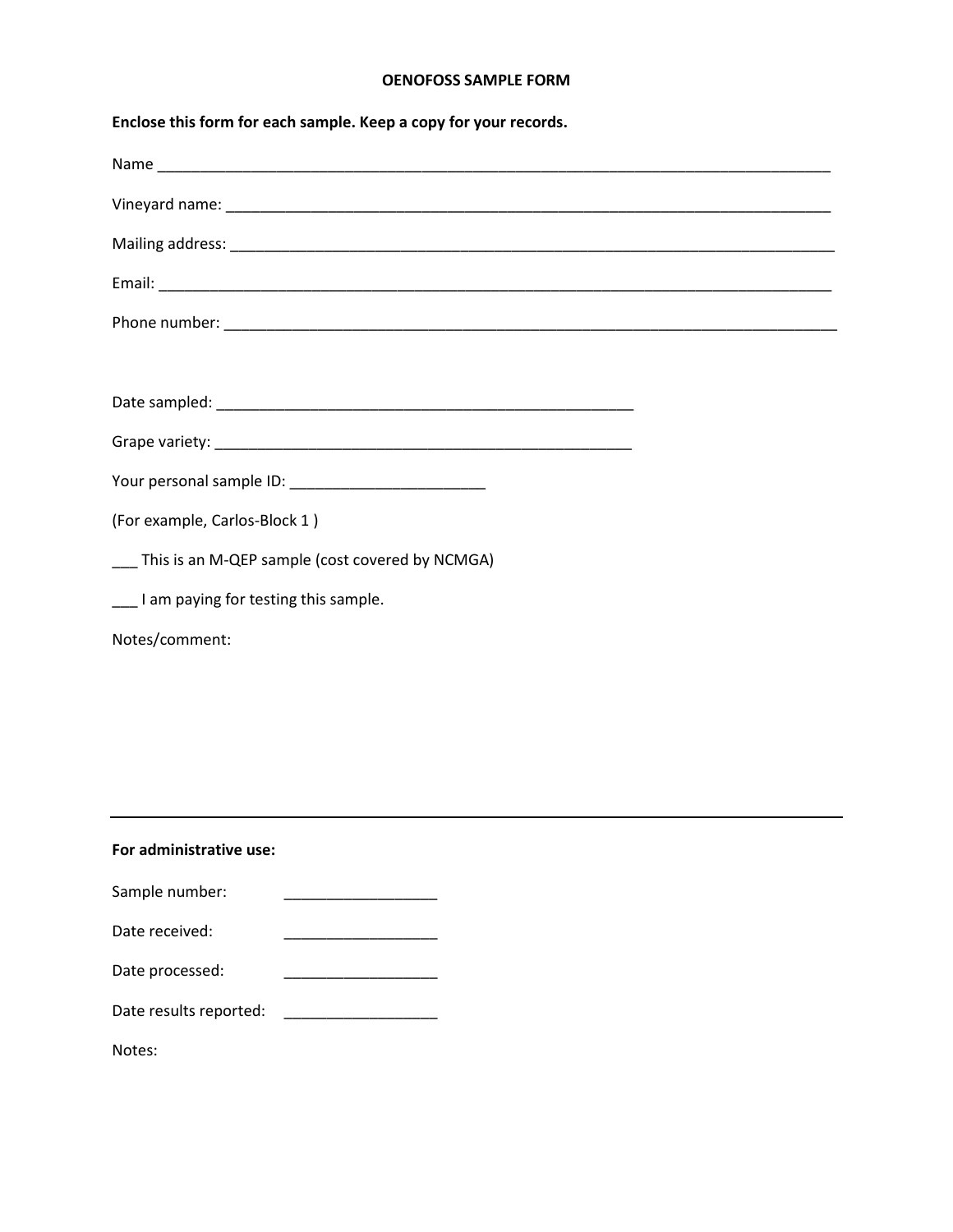#### **OENOFOSS SAMPLE FORM**

| Enclose this form for each sample. Keep a copy for your records. |  |  |  |  |  |
|------------------------------------------------------------------|--|--|--|--|--|
|                                                                  |  |  |  |  |  |
|                                                                  |  |  |  |  |  |
|                                                                  |  |  |  |  |  |
|                                                                  |  |  |  |  |  |
|                                                                  |  |  |  |  |  |
|                                                                  |  |  |  |  |  |
|                                                                  |  |  |  |  |  |
|                                                                  |  |  |  |  |  |
|                                                                  |  |  |  |  |  |
| (For example, Carlos-Block 1)                                    |  |  |  |  |  |
| This is an M-QEP sample (cost covered by NCMGA)                  |  |  |  |  |  |
| ___ I am paying for testing this sample.                         |  |  |  |  |  |
| Notes/comment:                                                   |  |  |  |  |  |
|                                                                  |  |  |  |  |  |

| For administrative use: |  |
|-------------------------|--|
| Sample number:          |  |
| Date received:          |  |
| Date processed:         |  |
| Date results reported:  |  |
| Notes:                  |  |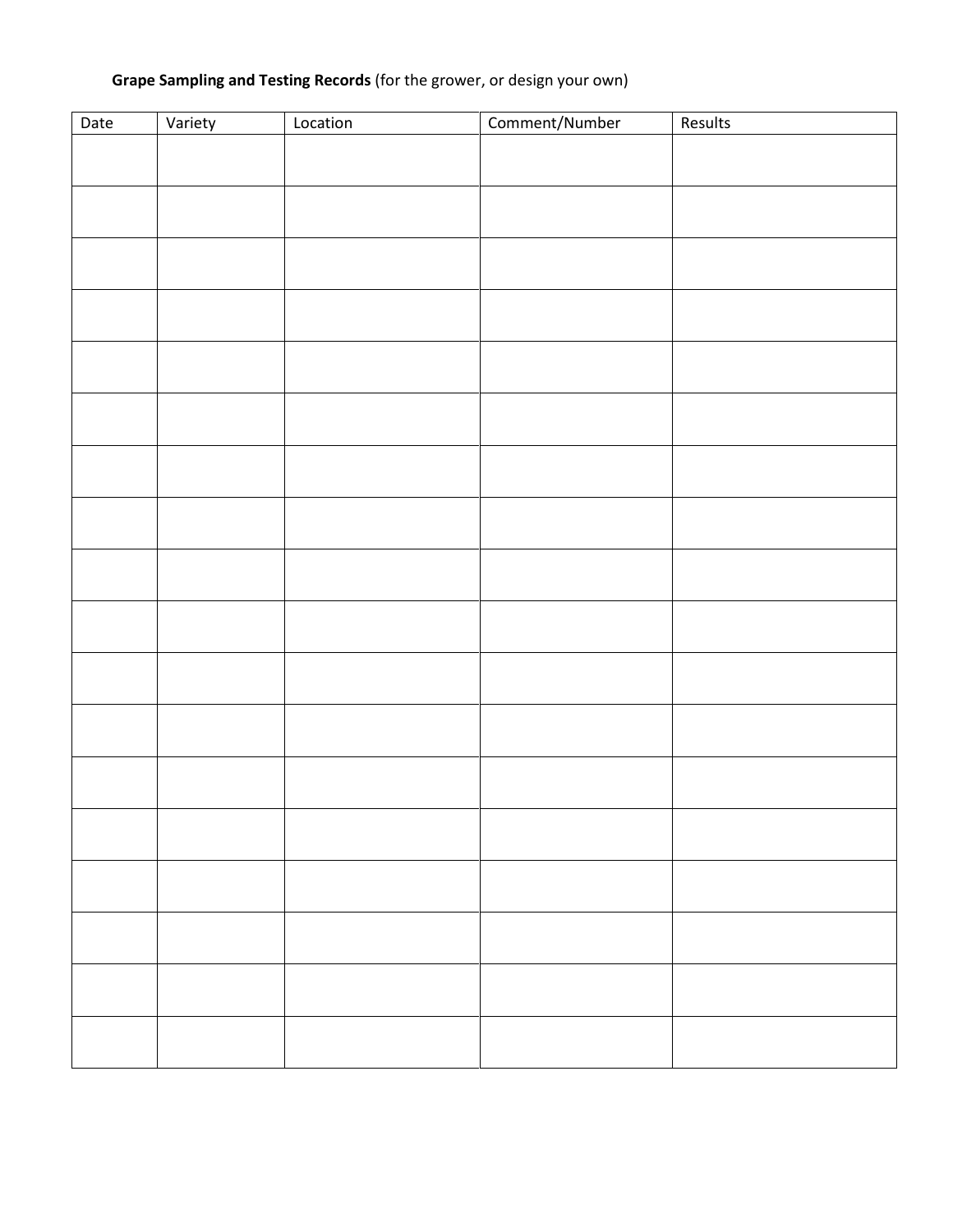# **Grape Sampling and Testing Records** (for the grower, or design your own)

| Date | Variety | Location | Comment/Number | Results |
|------|---------|----------|----------------|---------|
|      |         |          |                |         |
|      |         |          |                |         |
|      |         |          |                |         |
|      |         |          |                |         |
|      |         |          |                |         |
|      |         |          |                |         |
|      |         |          |                |         |
|      |         |          |                |         |
|      |         |          |                |         |
|      |         |          |                |         |
|      |         |          |                |         |
|      |         |          |                |         |
|      |         |          |                |         |
|      |         |          |                |         |
|      |         |          |                |         |
|      |         |          |                |         |
|      |         |          |                |         |
|      |         |          |                |         |
|      |         |          |                |         |
|      |         |          |                |         |
|      |         |          |                |         |
|      |         |          |                |         |
|      |         |          |                |         |
|      |         |          |                |         |
|      |         |          |                |         |
|      |         |          |                |         |
|      |         |          |                |         |
|      |         |          |                |         |
|      |         |          |                |         |
|      |         |          |                |         |
|      |         |          |                |         |